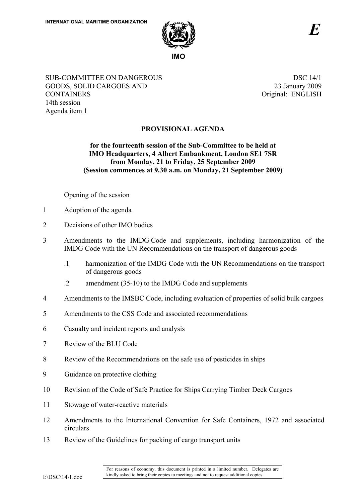

SUB-COMMITTEE ON DANGEROUS GOODS, SOLID CARGOES AND **CONTAINERS** 14th session Agenda item 1

 DSC 14/1 23 January 2009 Original: ENGLISH

## **PROVISIONAL AGENDA**

## **for the fourteenth session of the Sub-Committee to be held at IMO Headquarters, 4 Albert Embankment, London SE1 7SR from Monday, 21 to Friday, 25 September 2009 (Session commences at 9.30 a.m. on Monday, 21 September 2009)**

Opening of the session

- 1 Adoption of the agenda
- 2 Decisions of other IMO bodies
- 3 Amendments to the IMDG Code and supplements, including harmonization of the IMDG Code with the UN Recommendations on the transport of dangerous goods
	- .1 harmonization of the IMDG Code with the UN Recommendations on the transport of dangerous goods
	- .2 amendment (35-10) to the IMDG Code and supplements
- 4 Amendments to the IMSBC Code, including evaluation of properties of solid bulk cargoes
- 5 Amendments to the CSS Code and associated recommendations
- 6 Casualty and incident reports and analysis
- 7 Review of the BLU Code
- 8 Review of the Recommendations on the safe use of pesticides in ships
- 9 Guidance on protective clothing
- 10 Revision of the Code of Safe Practice for Ships Carrying Timber Deck Cargoes
- 11 Stowage of water-reactive materials
- 12 Amendments to the International Convention for Safe Containers, 1972 and associated circulars
- 13 Review of the Guidelines for packing of cargo transport units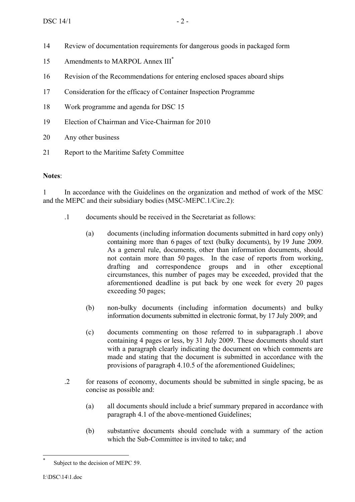- 14 Review of documentation requirements for dangerous goods in packaged form
- 15 Amendments to MARPOL Annex III\*
- 16 Revision of the Recommendations for entering enclosed spaces aboard ships
- 17 Consideration for the efficacy of Container Inspection Programme
- 18 Work programme and agenda for DSC 15
- 19 Election of Chairman and Vice-Chairman for 2010
- 20 Any other business
- 21 Report to the Maritime Safety Committee

## **Notes**:

1 In accordance with the Guidelines on the organization and method of work of the MSC and the MEPC and their subsidiary bodies (MSC-MEPC.1/Circ.2):

- .1 documents should be received in the Secretariat as follows:
	- (a) documents (including information documents submitted in hard copy only) containing more than 6 pages of text (bulky documents), by 19 June 2009. As a general rule, documents, other than information documents, should not contain more than 50 pages. In the case of reports from working, drafting and correspondence groups and in other exceptional circumstances, this number of pages may be exceeded, provided that the aforementioned deadline is put back by one week for every 20 pages exceeding 50 pages;
	- (b) non-bulky documents (including information documents) and bulky information documents submitted in electronic format, by 17 July 2009; and
	- (c) documents commenting on those referred to in subparagraph .1 above containing 4 pages or less, by 31 July 2009. These documents should start with a paragraph clearly indicating the document on which comments are made and stating that the document is submitted in accordance with the provisions of paragraph 4.10.5 of the aforementioned Guidelines;
- .2 for reasons of economy, documents should be submitted in single spacing, be as concise as possible and:
	- (a) all documents should include a brief summary prepared in accordance with paragraph 4.1 of the above-mentioned Guidelines;
	- (b) substantive documents should conclude with a summary of the action which the Sub-Committee is invited to take; and

 $\overline{a}$ 

Subject to the decision of MEPC 59.